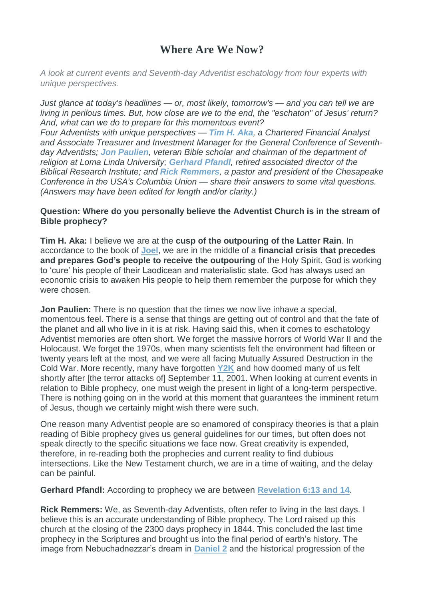# **Where Are We Now?**

*A look at current events and Seventh-day Adventist eschatology from four experts with unique perspectives.*

*Just glance at today's headlines — or, most likely, tomorrow's — and you can tell we are living in perilous times. But, how close are we to the end, the "eschaton" of Jesus' return? And, what can we do to prepare for this momentous event? Four Adventists with unique perspectives — Tim H. [Aka](https://twitter.com/taka_gcmoney), a Chartered Financial Analyst and Associate Treasurer and Investment Manager for the General Conference of Seventhday Adventists; Jon [Paulien](http://www.thebattleofarmageddon.com/), veteran Bible scholar and chairman of the department of religion at Loma Linda University; [Gerhard](https://www.adventistbiblicalresearch.org/materials/author/gerhard-pfandl) Pfandl, retired associated director of the Biblical Research Institute; and Rick [Remmers](http://www.ccosda.org/News/ID/32/Rick-Remmers-Named-President-of-Chesapeake-Conference), a pastor and president of the Chesapeake Conference in the USA's Columbia Union — share their answers to some vital questions. (Answers may have been edited for length and/or clarity.)*

#### **Question: Where do you personally believe the Adventist Church is in the stream of Bible prophecy?**

**Tim H. Aka:** I believe we are at the **cusp of the outpouring of the Latter Rain**. In accordance to the book of **[Joel](http://biblia.com/bible/niv2011/Joe)**, we are in the middle of a **financial crisis that precedes and prepares God's people to receive the outpouring** of the Holy Spirit. God is working to 'cure' his people of their Laodicean and materialistic state. God has always used an economic crisis to awaken His people to help them remember the purpose for which they were chosen.

**Jon Paulien:** There is no question that the times we now live inhave a special, momentous feel. There is a sense that things are getting out of control and that the fate of the planet and all who live in it is at risk. Having said this, when it comes to eschatology Adventist memories are often short. We forget the massive horrors of World War II and the Holocaust. We forget the 1970s, when many scientists felt the environment had fifteen or twenty years left at the most, and we were all facing Mutually Assured Destruction in the Cold War. More recently, many have forgotten **[Y2K](http://www.christianitytoday.com/ct/1999/january11/9t1054.html)** and how doomed many of us felt shortly after [the terror attacks of] September 11, 2001. When looking at current events in relation to Bible prophecy, one must weigh the present in light of a long-term perspective. There is nothing going on in the world at this moment that guarantees the imminent return of Jesus, though we certainly might wish there were such.

One reason many Adventist people are so enamored of conspiracy theories is that a plain reading of Bible prophecy gives us general guidelines for our times, but often does not speak directly to the specific situations we face now. Great creativity is expended, therefore, in re-reading both the prophecies and current reality to find dubious intersections. Like the New Testament church, we are in a time of waiting, and the delay can be painful.

**Gerhard Pfandl:** According to prophecy we are between **[Revelation](http://biblia.com/bible/niv2011/Re6.13-14) 6:13 and 14**.

**Rick Remmers:** We, as Seventh-day Adventists, often refer to living in the last days. I believe this is an accurate understanding of Bible prophecy. The Lord raised up this church at the closing of the 2300 days prophecy in 1844. This concluded the last time prophecy in the Scriptures and brought us into the final period of earth's history. The image from Nebuchadnezzar's dream in **[Daniel](http://biblia.com/bible/nkjv/Da2) 2** and the historical progression of the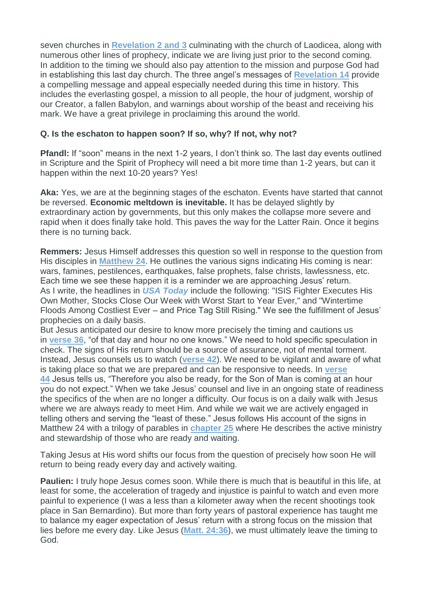seven churches in **[Revelation](http://biblia.com/bible/nkjv/Re2,3) 2 and 3** culminating with the church of Laodicea, along with numerous other lines of prophecy, indicate we are living just prior to the second coming. In addition to the timing we should also pay attention to the mission and purpose God had in establishing this last day church. The three angel's messages of **[Revelation](http://biblia.com/bible/nkjv/Re14) 14** provide a compelling message and appeal especially needed during this time in history. This includes the everlasting gospel, a mission to all people, the hour of judgment, worship of our Creator, a fallen Babylon, and warnings about worship of the beast and receiving his mark. We have a great privilege in proclaiming this around the world.

## **Q. Is the eschaton to happen soon? If so, why? If not, why not?**

**Pfandl:** If "soon" means in the next 1-2 years, I don't think so. The last day events outlined in Scripture and the Spirit of Prophecy will need a bit more time than 1-2 years, but can it happen within the next 10-20 years? Yes!

**Aka:** Yes, we are at the beginning stages of the eschaton. Events have started that cannot be reversed. **Economic meltdown is inevitable.** It has be delayed slightly by extraordinary action by governments, but this only makes the collapse more severe and rapid when it does finally take hold. This paves the way for the Latter Rain. Once it begins there is no turning back.

**Remmers:** Jesus Himself addresses this question so well in response to the question from His disciples in **[Matthew](http://biblia.com/bible/nkjv/Mt24) 24**. He outlines the various signs indicating His coming is near: wars, famines, pestilences, earthquakes, false prophets, false christs, lawlessness, etc. Each time we see these happen it is a reminder we are approaching Jesus' return. As I write, the headlines in *USA [Today](http://www.usatoday.com/)* include the following: "ISIS Fighter Executes His Own Mother, Stocks Close Our Week with Worst Start to Year Ever," and "Wintertime Floods Among Costliest Ever – and Price Tag Still Rising." We see the fulfillment of Jesus' prophecies on a daily basis.

But Jesus anticipated our desire to know more precisely the timing and cautions us in **[verse](http://biblia.com/bible/nkjv/Mt24.36) 36**, "of that day and hour no one knows." We need to hold specific speculation in check. The signs of His return should be a source of assurance, not of mental torment. Instead, Jesus counsels us to watch (**[verse](http://biblia.com/bible/nkjv/Mt24.42) 42**). We need to be vigilant and aware of what is taking place so that we are prepared and can be responsive to needs. In **[verse](http://biblia.com/bible/nkjv/Mt24.44) [44](http://biblia.com/bible/nkjv/Mt24.44)** Jesus tells us, "Therefore you also be ready, for the Son of Man is coming at an hour you do not expect." When we take Jesus' counsel and live in an ongoing state of readiness the specifics of the when are no longer a difficulty. Our focus is on a daily walk with Jesus where we are always ready to meet Him. And while we wait we are actively engaged in telling others and serving the "least of these." Jesus follows His account of the signs in Matthew 24 with a trilogy of parables in **[chapter](http://biblia.com/bible/nkjv/Mt25) 25** where He describes the active ministry and stewardship of those who are ready and waiting.

Taking Jesus at His word shifts our focus from the question of precisely how soon He will return to being ready every day and actively waiting.

**Paulien:** I truly hope Jesus comes soon. While there is much that is beautiful in this life, at least for some, the acceleration of tragedy and injustice is painful to watch and even more painful to experience (I was a less than a kilometer away when the recent shootings took place in San Bernardino). But more than forty years of pastoral experience has taught me to balance my eager expectation of Jesus' return with a strong focus on the mission that lies before me every day. Like Jesus (**Matt. [24:36](http://biblia.com/bible/niv2011/Mt24.36)**), we must ultimately leave the timing to God.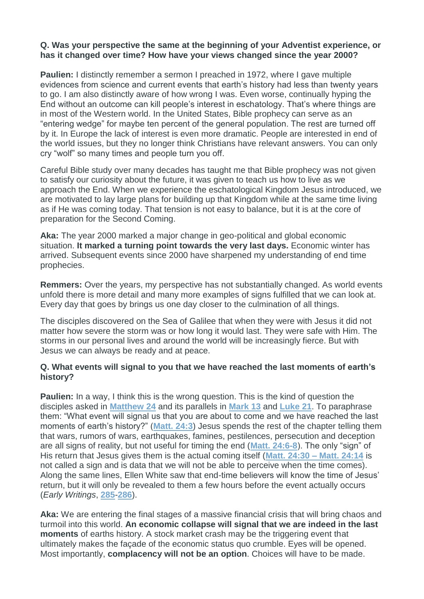## **Q. Was your perspective the same at the beginning of your Adventist experience, or has it changed over time? How have your views changed since the year 2000?**

**Paulien:** I distinctly remember a sermon I preached in 1972, where I gave multiple evidences from science and current events that earth's history had less than twenty years to go. I am also distinctly aware of how wrong I was. Even worse, continually hyping the End without an outcome can kill people's interest in eschatology. That's where things are in most of the Western world. In the United States, Bible prophecy can serve as an "entering wedge" for maybe ten percent of the general population. The rest are turned off by it. In Europe the lack of interest is even more dramatic. People are interested in end of the world issues, but they no longer think Christians have relevant answers. You can only cry "wolf" so many times and people turn you off.

Careful Bible study over many decades has taught me that Bible prophecy was not given to satisfy our curiosity about the future, it was given to teach us how to live as we approach the End. When we experience the eschatological Kingdom Jesus introduced, we are motivated to lay large plans for building up that Kingdom while at the same time living as if He was coming today. That tension is not easy to balance, but it is at the core of preparation for the Second Coming.

**Aka:** The year 2000 marked a major change in geo-political and global economic situation. **It marked a turning point towards the very last days.** Economic winter has arrived. Subsequent events since 2000 have sharpened my understanding of end time prophecies.

**Remmers:** Over the years, my perspective has not substantially changed. As world events unfold there is more detail and many more examples of signs fulfilled that we can look at. Every day that goes by brings us one day closer to the culmination of all things.

The disciples discovered on the Sea of Galilee that when they were with Jesus it did not matter how severe the storm was or how long it would last. They were safe with Him. The storms in our personal lives and around the world will be increasingly fierce. But with Jesus we can always be ready and at peace.

## **Q. What events will signal to you that we have reached the last moments of earth's history?**

**Paulien:** In a way, I think this is the wrong question. This is the kind of question the disciples asked in **[Matthew](http://biblia.com/bible/niv2011/Mt24) 24** and its parallels in **[Mark](http://biblia.com/bible/niv2011/Mk13) 13** and **[Luke](http://biblia.com/bible/niv2011/Lk21) 21**. To paraphrase them: "What event will signal us that you are about to come and we have reached the last moments of earth's history?" (**[Matt.](http://biblia.com/bible/niv2011/Mt24.3) 24:3**) Jesus spends the rest of the chapter telling them that wars, rumors of wars, earthquakes, famines, pestilences, persecution and deception are all signs of reality, but not useful for timing the end (**Matt. [24:6-8](http://biblia.com/bible/niv2011/Mt24.6-8)**). The only "sign" of His return that Jesus gives them is the actual coming itself (**Matt. [24:30](http://biblia.com/bible/niv2011/Mt24.30,14) – Matt. 24:14** is not called a sign and is data that we will not be able to perceive when the time comes). Along the same lines, Ellen White saw that end-time believers will know the time of Jesus' return, but it will only be revealed to them a few hours before the event actually occurs (*Early Writings*, **[285](http://text.egwwritings.org/publication.php?pubtype=Book&bookCode=EW&pagenumber=285)**-**[286](http://text.egwwritings.org/publication.php?pubtype=Book&bookCode=EW&pagenumber=286)**).

**Aka:** We are entering the final stages of a massive financial crisis that will bring chaos and turmoil into this world. **An economic collapse will signal that we are indeed in the last moments** of earths history. A stock market crash may be the triggering event that ultimately makes the façade of the economic status quo crumble. Eyes will be opened. Most importantly, **complacency will not be an option**. Choices will have to be made.